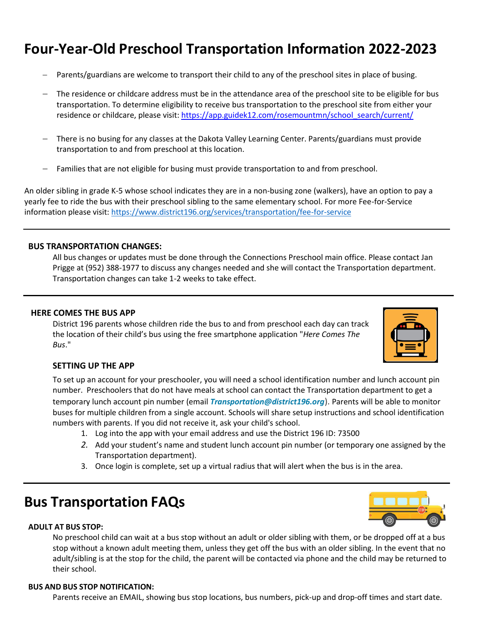# **Four-Year-Old Preschool Transportation Information 2022-2023**

- Parents/guardians are welcome to transport their child to any of the preschool sites in place of busing.
- The residence or childcare address must be in the attendance area of the preschool site to be eligible for bus transportation. To determine eligibility to receive bus transportation to the preschool site from either your residence or childcare, please visit: [https://app.guidek12.com/rosemountmn/school\\_search/current/](https://app.guidek12.com/rosemountmn/school_search/current/)
- There is no busing for any classes at the Dakota Valley Learning Center. Parents/guardians must provide transportation to and from preschool at this location.
- Families that are not eligible for busing must provide transportation to and from preschool.

An older sibling in grade K-5 whose school indicates they are in a non-busing zone (walkers), have an option to pay a yearly fee to ride the bus with their preschool sibling to the same elementary school. For more Fee-for-Service information please visit:<https://www.district196.org/services/transportation/fee-for-service>

#### **BUS TRANSPORTATION CHANGES:**

All bus changes or updates must be done through the Connections Preschool main office. Please contact Jan Prigge at (952) 388-1977 to discuss any changes needed and she will contact the Transportation department. Transportation changes can take 1-2 weeks to take effect.

#### **HERE COMES THE BUS APP**

District 196 parents whose children ride the bus to and from preschool each day can track the location of their child's bus using the free smartphone application "*Here Comes The Bus*."

## **SETTING UP THE APP**

To set up an account for your preschooler, you will need a school identification number and lunch account pin number. Preschoolers that do not have meals at school can contact the Transportation department to get a temporary lunch account pin number (email *[Transportation@district196.org](mailto:Transportation@district196.org)*). Parents will be able to monitor buses for multiple children from a single account. Schools will share setup instructions and school identification numbers with parents. If you did not receive it, ask your child's school.

- 1. Log into the app with your email address and use the District 196 ID: 73500
- *2.* Add your student's name and student lunch account pin number (or temporary one assigned by the Transportation department).
- 3. Once login is complete, set up a virtual radius that will alert when the bus is in the area.

# **Bus Transportation FAQs**

#### **ADULT AT BUS STOP:**

No preschool child can wait at a bus stop without an adult or older sibling with them, or be dropped off at a bus stop without a known adult meeting them, unless they get off the bus with an older sibling. In the event that no adult/sibling is at the stop for the child, the parent will be contacted via phone and the child may be returned to their school.

#### **BUS AND BUS STOP NOTIFICATION:**

Parents receive an EMAIL, showing bus stop locations, bus numbers, pick-up and drop-off times and start date.